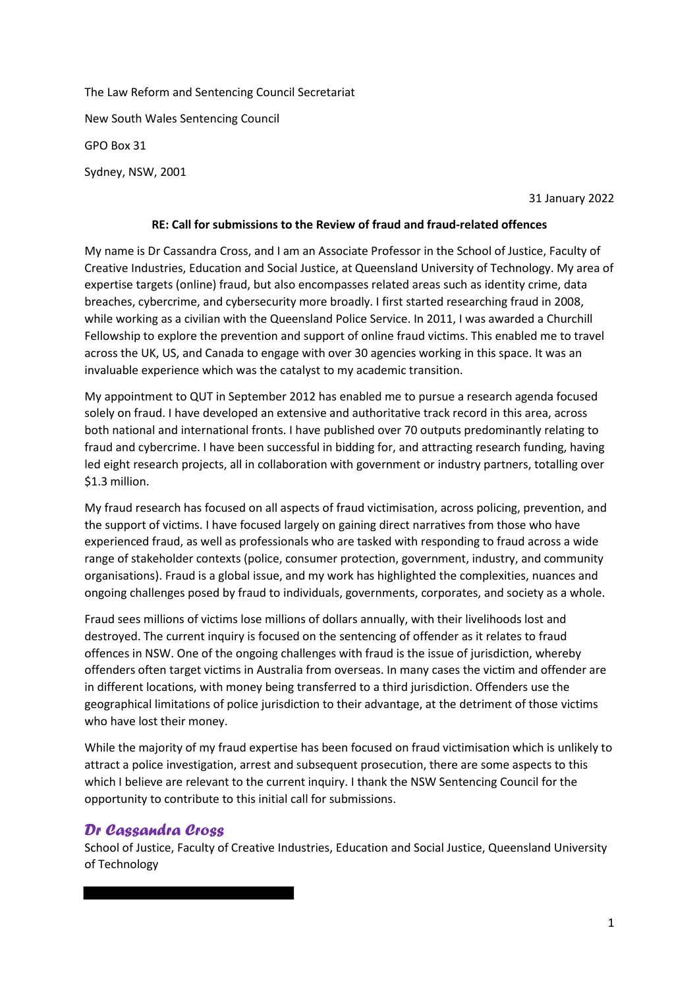The Law Reform and Sentencing Council Secretariat New South Wales Sentencing Council GPO Box 31 Sydney, NSW, 2001

31 January 2022

#### **RE: Call for submissions to the Review of fraud and fraud-related offences**

My name is Dr Cassandra Cross, and I am an Associate Professor in the School of Justice, Faculty of Creative Industries, Education and Social Justice, at Queensland University of Technology. My area of expertise targets (online) fraud, but also encompasses related areas such as identity crime, data breaches, cybercrime, and cybersecurity more broadly. I first started researching fraud in 2008, while working as a civilian with the Queensland Police Service. In 2011, I was awarded a Churchill Fellowship to explore the prevention and support of online fraud victims. This enabled me to travel across the UK, US, and Canada to engage with over 30 agencies working in this space. It was an invaluable experience which was the catalyst to my academic transition.

My appointment to QUT in September 2012 has enabled me to pursue a research agenda focused solely on fraud. I have developed an extensive and authoritative track record in this area, across both national and international fronts. I have published over 70 outputs predominantly relating to fraud and cybercrime. I have been successful in bidding for, and attracting research funding, having led eight research projects, all in collaboration with government or industry partners, totalling over \$1.3 million.

My fraud research has focused on all aspects of fraud victimisation, across policing, prevention, and the support of victims. I have focused largely on gaining direct narratives from those who have experienced fraud, as well as professionals who are tasked with responding to fraud across a wide range of stakeholder contexts (police, consumer protection, government, industry, and community organisations). Fraud is a global issue, and my work has highlighted the complexities, nuances and ongoing challenges posed by fraud to individuals, governments, corporates, and society as a whole.

Fraud sees millions of victims lose millions of dollars annually, with their livelihoods lost and destroyed. The current inquiry is focused on the sentencing of offender as it relates to fraud offences in NSW. One of the ongoing challenges with fraud is the issue of jurisdiction, whereby offenders often target victims in Australia from overseas. In many cases the victim and offender are in different locations, with money being transferred to a third jurisdiction. Offenders use the geographical limitations of police jurisdiction to their advantage, at the detriment of those victims who have lost their money.

While the majority of my fraud expertise has been focused on fraud victimisation which is unlikely to attract a police investigation, arrest and subsequent prosecution, there are some aspects to this which I believe are relevant to the current inquiry. I thank the NSW Sentencing Council for the opportunity to contribute to this initial call for submissions.

### *Dr Cassandra Cross*

School of Justice, Faculty of Creative Industries, Education and Social Justice, Queensland University of Technology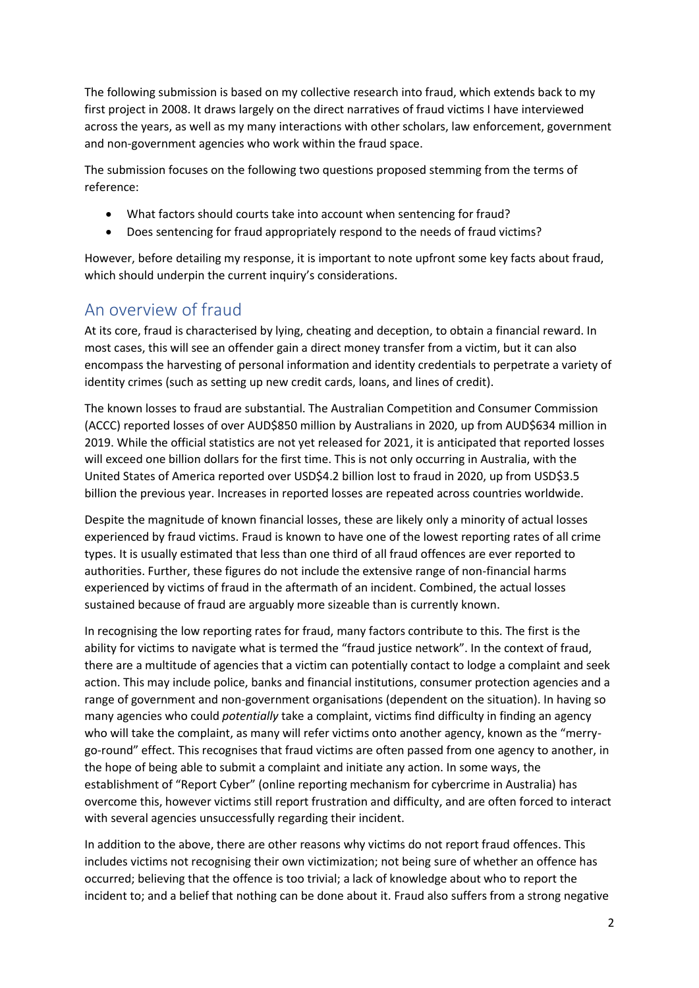The following submission is based on my collective research into fraud, which extends back to my first project in 2008. It draws largely on the direct narratives of fraud victims I have interviewed across the years, as well as my many interactions with other scholars, law enforcement, government and non-government agencies who work within the fraud space.

The submission focuses on the following two questions proposed stemming from the terms of reference:

- What factors should courts take into account when sentencing for fraud?
- Does sentencing for fraud appropriately respond to the needs of fraud victims?

However, before detailing my response, it is important to note upfront some key facts about fraud, which should underpin the current inquiry's considerations.

## An overview of fraud

At its core, fraud is characterised by lying, cheating and deception, to obtain a financial reward. In most cases, this will see an offender gain a direct money transfer from a victim, but it can also encompass the harvesting of personal information and identity credentials to perpetrate a variety of identity crimes (such as setting up new credit cards, loans, and lines of credit).

The known losses to fraud are substantial. The Australian Competition and Consumer Commission (ACCC) reported losses of over AUD\$850 million by Australians in 2020, up from AUD\$634 million in 2019. While the official statistics are not yet released for 2021, it is anticipated that reported losses will exceed one billion dollars for the first time. This is not only occurring in Australia, with the United States of America reported over USD\$4.2 billion lost to fraud in 2020, up from USD\$3.5 billion the previous year. Increases in reported losses are repeated across countries worldwide.

Despite the magnitude of known financial losses, these are likely only a minority of actual losses experienced by fraud victims. Fraud is known to have one of the lowest reporting rates of all crime types. It is usually estimated that less than one third of all fraud offences are ever reported to authorities. Further, these figures do not include the extensive range of non-financial harms experienced by victims of fraud in the aftermath of an incident. Combined, the actual losses sustained because of fraud are arguably more sizeable than is currently known.

In recognising the low reporting rates for fraud, many factors contribute to this. The first is the ability for victims to navigate what is termed the "fraud justice network". In the context of fraud, there are a multitude of agencies that a victim can potentially contact to lodge a complaint and seek action. This may include police, banks and financial institutions, consumer protection agencies and a range of government and non-government organisations (dependent on the situation). In having so many agencies who could *potentially* take a complaint, victims find difficulty in finding an agency who will take the complaint, as many will refer victims onto another agency, known as the "merrygo-round" effect. This recognises that fraud victims are often passed from one agency to another, in the hope of being able to submit a complaint and initiate any action. In some ways, the establishment of "Report Cyber" (online reporting mechanism for cybercrime in Australia) has overcome this, however victims still report frustration and difficulty, and are often forced to interact with several agencies unsuccessfully regarding their incident.

In addition to the above, there are other reasons why victims do not report fraud offences. This includes victims not recognising their own victimization; not being sure of whether an offence has occurred; believing that the offence is too trivial; a lack of knowledge about who to report the incident to; and a belief that nothing can be done about it. Fraud also suffers from a strong negative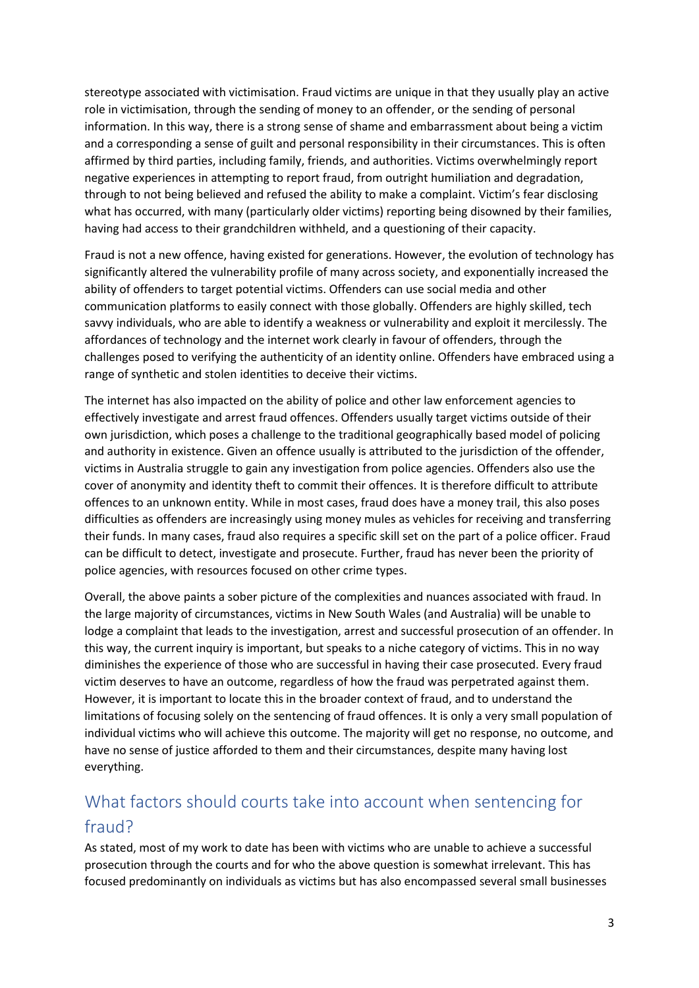stereotype associated with victimisation. Fraud victims are unique in that they usually play an active role in victimisation, through the sending of money to an offender, or the sending of personal information. In this way, there is a strong sense of shame and embarrassment about being a victim and a corresponding a sense of guilt and personal responsibility in their circumstances. This is often affirmed by third parties, including family, friends, and authorities. Victims overwhelmingly report negative experiences in attempting to report fraud, from outright humiliation and degradation, through to not being believed and refused the ability to make a complaint. Victim's fear disclosing what has occurred, with many (particularly older victims) reporting being disowned by their families, having had access to their grandchildren withheld, and a questioning of their capacity.

Fraud is not a new offence, having existed for generations. However, the evolution of technology has significantly altered the vulnerability profile of many across society, and exponentially increased the ability of offenders to target potential victims. Offenders can use social media and other communication platforms to easily connect with those globally. Offenders are highly skilled, tech savvy individuals, who are able to identify a weakness or vulnerability and exploit it mercilessly. The affordances of technology and the internet work clearly in favour of offenders, through the challenges posed to verifying the authenticity of an identity online. Offenders have embraced using a range of synthetic and stolen identities to deceive their victims.

The internet has also impacted on the ability of police and other law enforcement agencies to effectively investigate and arrest fraud offences. Offenders usually target victims outside of their own jurisdiction, which poses a challenge to the traditional geographically based model of policing and authority in existence. Given an offence usually is attributed to the jurisdiction of the offender, victims in Australia struggle to gain any investigation from police agencies. Offenders also use the cover of anonymity and identity theft to commit their offences. It is therefore difficult to attribute offences to an unknown entity. While in most cases, fraud does have a money trail, this also poses difficulties as offenders are increasingly using money mules as vehicles for receiving and transferring their funds. In many cases, fraud also requires a specific skill set on the part of a police officer. Fraud can be difficult to detect, investigate and prosecute. Further, fraud has never been the priority of police agencies, with resources focused on other crime types.

Overall, the above paints a sober picture of the complexities and nuances associated with fraud. In the large majority of circumstances, victims in New South Wales (and Australia) will be unable to lodge a complaint that leads to the investigation, arrest and successful prosecution of an offender. In this way, the current inquiry is important, but speaks to a niche category of victims. This in no way diminishes the experience of those who are successful in having their case prosecuted. Every fraud victim deserves to have an outcome, regardless of how the fraud was perpetrated against them. However, it is important to locate this in the broader context of fraud, and to understand the limitations of focusing solely on the sentencing of fraud offences. It is only a very small population of individual victims who will achieve this outcome. The majority will get no response, no outcome, and have no sense of justice afforded to them and their circumstances, despite many having lost everything.

# What factors should courts take into account when sentencing for fraud?

As stated, most of my work to date has been with victims who are unable to achieve a successful prosecution through the courts and for who the above question is somewhat irrelevant. This has focused predominantly on individuals as victims but has also encompassed several small businesses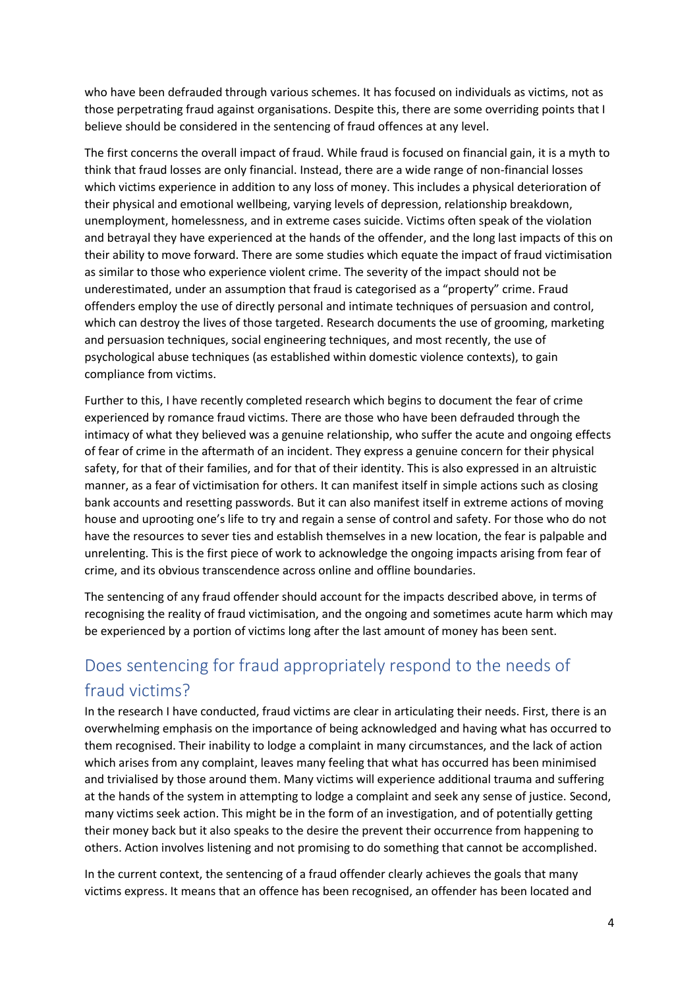who have been defrauded through various schemes. It has focused on individuals as victims, not as those perpetrating fraud against organisations. Despite this, there are some overriding points that I believe should be considered in the sentencing of fraud offences at any level.

The first concerns the overall impact of fraud. While fraud is focused on financial gain, it is a myth to think that fraud losses are only financial. Instead, there are a wide range of non-financial losses which victims experience in addition to any loss of money. This includes a physical deterioration of their physical and emotional wellbeing, varying levels of depression, relationship breakdown, unemployment, homelessness, and in extreme cases suicide. Victims often speak of the violation and betrayal they have experienced at the hands of the offender, and the long last impacts of this on their ability to move forward. There are some studies which equate the impact of fraud victimisation as similar to those who experience violent crime. The severity of the impact should not be underestimated, under an assumption that fraud is categorised as a "property" crime. Fraud offenders employ the use of directly personal and intimate techniques of persuasion and control, which can destroy the lives of those targeted. Research documents the use of grooming, marketing and persuasion techniques, social engineering techniques, and most recently, the use of psychological abuse techniques (as established within domestic violence contexts), to gain compliance from victims.

Further to this, I have recently completed research which begins to document the fear of crime experienced by romance fraud victims. There are those who have been defrauded through the intimacy of what they believed was a genuine relationship, who suffer the acute and ongoing effects of fear of crime in the aftermath of an incident. They express a genuine concern for their physical safety, for that of their families, and for that of their identity. This is also expressed in an altruistic manner, as a fear of victimisation for others. It can manifest itself in simple actions such as closing bank accounts and resetting passwords. But it can also manifest itself in extreme actions of moving house and uprooting one's life to try and regain a sense of control and safety. For those who do not have the resources to sever ties and establish themselves in a new location, the fear is palpable and unrelenting. This is the first piece of work to acknowledge the ongoing impacts arising from fear of crime, and its obvious transcendence across online and offline boundaries.

The sentencing of any fraud offender should account for the impacts described above, in terms of recognising the reality of fraud victimisation, and the ongoing and sometimes acute harm which may be experienced by a portion of victims long after the last amount of money has been sent.

# Does sentencing for fraud appropriately respond to the needs of fraud victims?

In the research I have conducted, fraud victims are clear in articulating their needs. First, there is an overwhelming emphasis on the importance of being acknowledged and having what has occurred to them recognised. Their inability to lodge a complaint in many circumstances, and the lack of action which arises from any complaint, leaves many feeling that what has occurred has been minimised and trivialised by those around them. Many victims will experience additional trauma and suffering at the hands of the system in attempting to lodge a complaint and seek any sense of justice. Second, many victims seek action. This might be in the form of an investigation, and of potentially getting their money back but it also speaks to the desire the prevent their occurrence from happening to others. Action involves listening and not promising to do something that cannot be accomplished.

In the current context, the sentencing of a fraud offender clearly achieves the goals that many victims express. It means that an offence has been recognised, an offender has been located and